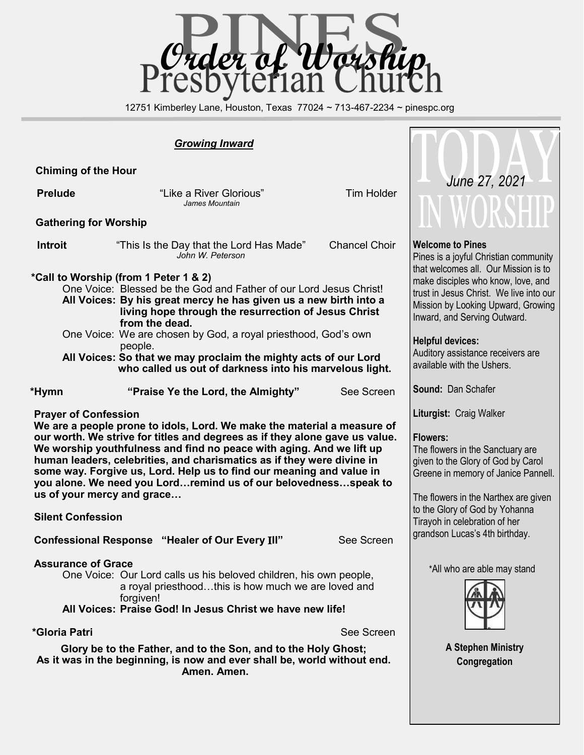

12751 Kimberley Lane, Houston, Texas 77024 ~ 713-467-2234 ~ pinespc.org

## *Growing Inward*

 **Chiming of the Hour**

**Prelude** The **Prelude Prelude Tim Holder Tim Holder** *James Mountain*

### **Gathering for Worship**

| "This Is the Day that the Lord Has Made"<br>John W. Peterson | <b>Chancel Choir</b> |
|--------------------------------------------------------------|----------------------|
|                                                              |                      |
|                                                              |                      |

## **\*Call to Worship (from 1 Peter 1 & 2)**

One Voice: Blessed be the God and Father of our Lord Jesus Christ! **All Voices: By his great mercy he has given us a new birth into a living hope through the resurrection of Jesus Christ from the dead.**

One Voice: We are chosen by God, a royal priesthood, God's own people.

**All Voices: So that we may proclaim the mighty acts of our Lord who called us out of darkness into his marvelous light.**

 **\*Hymn "Praise Ye the Lord, the Almighty"** See Screen

#### **Prayer of Confession**

 **We are a people prone to idols, Lord. We make the material a measure of our worth. We strive for titles and degrees as if they alone gave us value. We worship youthfulness and find no peace with aging. And we lift up human leaders, celebrities, and charismatics as if they were divine in some way. Forgive us, Lord. Help us to find our meaning and value in you alone. We need you Lord…remind us of our belovedness…speak to us of your mercy and grace…**

 **Silent Confession**

 **Confessional Response "Healer of Our Every** I**ll"** See Screen

#### **Assurance of Grace**

One Voice: Our Lord calls us his beloved children, his own people, a royal priesthood…this is how much we are loved and forgiven!

**All Voices: Praise God! In Jesus Christ we have new life!**

**\*Gloria Patri** See Screen

**Glory be to the Father, and to the Son, and to the Holy Ghost; As it was in the beginning, is now and ever shall be, world without end. Amen. Amen.** 



## **Welcome to Pines**

Pines is a joyful Christian community that welcomes all. Our Mission is to make disciples who know, love, and trust in Jesus Christ. We live into our Mission by Looking Upward, Growing Inward, and Serving Outward.

### **Helpful devices:**

Auditory assistance receivers are available with the Ushers.

**Sound:** Dan Schafer

**Liturgist:** Craig Walker

## **Flowers:**

The flowers in the Sanctuary are given to the Glory of God by Carol Greene in memory of Janice Pannell.

The flowers in the Narthex are given to the Glory of God by Yohanna Tirayoh in celebration of her grandson Lucas's 4th birthday.

\*All who are able may stand



**A Stephen Ministry Congregation**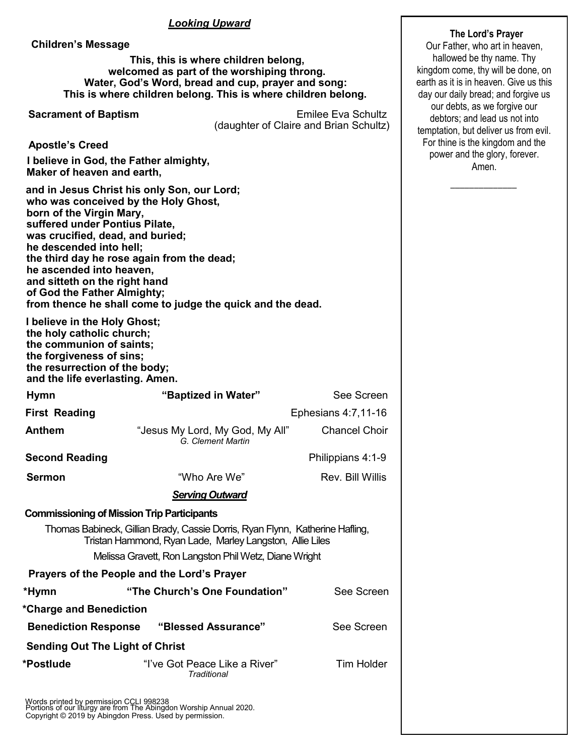## *Looking Upward*

 **Children's Message**

 **This, this is where children belong, welcomed as part of the worshiping throng. Water, God's Word, bread and cup, prayer and song: This is where children belong. This is where children belong.**

|                                                                                                                                                                                                                       | This is where children belong. This is where children belong.                                                                                                                                   |                                                                                   | day our daily bread; and re      |  |
|-----------------------------------------------------------------------------------------------------------------------------------------------------------------------------------------------------------------------|-------------------------------------------------------------------------------------------------------------------------------------------------------------------------------------------------|-----------------------------------------------------------------------------------|----------------------------------|--|
| <b>Sacrament of Baptism</b>                                                                                                                                                                                           | (daughter of Claire and Brian Schultz)                                                                                                                                                          | our debts, as we forgive<br>debtors; and lead us no<br>temptation, but deliver us |                                  |  |
| <b>Apostle's Creed</b>                                                                                                                                                                                                |                                                                                                                                                                                                 |                                                                                   | For thine is the kingdom         |  |
| Maker of heaven and earth,                                                                                                                                                                                            | I believe in God, the Father almighty,                                                                                                                                                          |                                                                                   | power and the glory, fo<br>Amen. |  |
| born of the Virgin Mary,<br>suffered under Pontius Pilate,<br>was crucified, dead, and buried;<br>he descended into hell;<br>he ascended into heaven,<br>and sitteth on the right hand<br>of God the Father Almighty; | and in Jesus Christ his only Son, our Lord;<br>who was conceived by the Holy Ghost,<br>the third day he rose again from the dead;<br>from thence he shall come to judge the quick and the dead. |                                                                                   |                                  |  |
| I believe in the Holy Ghost;<br>the holy catholic church;<br>the communion of saints;<br>the forgiveness of sins;<br>the resurrection of the body;<br>and the life everlasting. Amen.                                 |                                                                                                                                                                                                 |                                                                                   |                                  |  |
| <b>Hymn</b>                                                                                                                                                                                                           | "Baptized in Water"                                                                                                                                                                             | See Screen                                                                        |                                  |  |
| <b>First Reading</b>                                                                                                                                                                                                  |                                                                                                                                                                                                 | Ephesians 4:7,11-16                                                               |                                  |  |
| <b>Anthem</b>                                                                                                                                                                                                         | "Jesus My Lord, My God, My All"<br>G. Clement Martin                                                                                                                                            | <b>Chancel Choir</b>                                                              |                                  |  |
| <b>Second Reading</b>                                                                                                                                                                                                 |                                                                                                                                                                                                 | Philippians 4:1-9                                                                 |                                  |  |
| <b>Sermon</b>                                                                                                                                                                                                         | "Who Are We"                                                                                                                                                                                    | Rev. Bill Willis                                                                  |                                  |  |
|                                                                                                                                                                                                                       | <b>Serving Outward</b>                                                                                                                                                                          |                                                                                   |                                  |  |
|                                                                                                                                                                                                                       | <b>Commissioning of Mission Trip Participants</b>                                                                                                                                               |                                                                                   |                                  |  |
|                                                                                                                                                                                                                       | Thomas Babineck, Gillian Brady, Cassie Dorris, Ryan Flynn, Katherine Hafling,<br>Tristan Hammond, Ryan Lade, Marley Langston, Allie Liles                                                       |                                                                                   |                                  |  |
|                                                                                                                                                                                                                       | Melissa Gravett, Ron Langston Phil Wetz, Diane Wright                                                                                                                                           |                                                                                   |                                  |  |
|                                                                                                                                                                                                                       | Prayers of the People and the Lord's Prayer                                                                                                                                                     |                                                                                   |                                  |  |
| *Hymn                                                                                                                                                                                                                 | "The Church's One Foundation"                                                                                                                                                                   | See Screen                                                                        |                                  |  |
| *Charge and Benediction                                                                                                                                                                                               |                                                                                                                                                                                                 |                                                                                   |                                  |  |
| <b>Benediction Response</b>                                                                                                                                                                                           | "Blessed Assurance"                                                                                                                                                                             | See Screen                                                                        |                                  |  |
| <b>Sending Out The Light of Christ</b>                                                                                                                                                                                |                                                                                                                                                                                                 |                                                                                   |                                  |  |
| *Postlude                                                                                                                                                                                                             | "I've Got Peace Like a River"<br>Traditional                                                                                                                                                    | <b>Tim Holder</b>                                                                 |                                  |  |

Words printed by permission CCLI 998238 Portions of our liturgy are from The Abingdon Worship Annual 2020. Copyright © 2019 by Abingdon Press. Used by permission.

## **The Lord's Prayer**

Our Father, who art in heaven, hallowed be thy name. Thy kingdom come, thy will be done, on earth as it is in heaven. Give us this daily bread; and forgive us debts, as we forgive our ors; and lead us not into ion, but deliver us from evil. ne is the kingdom and the er and the glory, forever. Amen.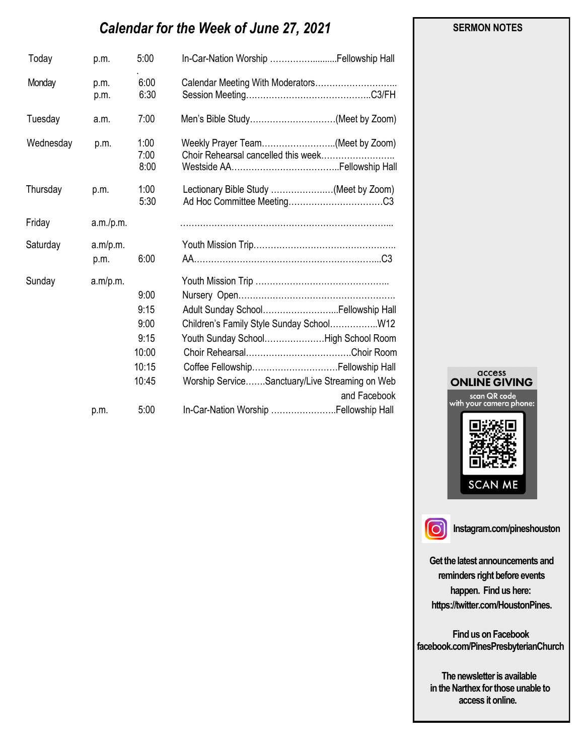# *Calendar for the Week of June 27, 2021*

| Today     | p.m.             | 5:00                                                    | In-Car-Nation Worship  Fellowship Hall                                                                                                                                                                                        |
|-----------|------------------|---------------------------------------------------------|-------------------------------------------------------------------------------------------------------------------------------------------------------------------------------------------------------------------------------|
| Monday    | p.m.<br>p.m.     | 6:00<br>6:30                                            | Calendar Meeting With Moderators                                                                                                                                                                                              |
| Tuesday   | a.m.             | 7:00                                                    | Men's Bible Study(Meet by Zoom)                                                                                                                                                                                               |
| Wednesday | p.m.             | 1:00<br>7:00<br>8:00                                    | Weekly Prayer Team(Meet by Zoom)<br>Choir Rehearsal cancelled this week                                                                                                                                                       |
| Thursday  | p.m.             | 1:00<br>5:30                                            | Lectionary Bible Study (Meet by Zoom)                                                                                                                                                                                         |
| Friday    | a.m./p.m.        |                                                         |                                                                                                                                                                                                                               |
| Saturday  | a.m/p.m.<br>p.m. | 6:00                                                    |                                                                                                                                                                                                                               |
| Sunday    | a.m/p.m.         | 9:00<br>9:15<br>9:00<br>9:15<br>10:00<br>10:15<br>10:45 | Adult Sunday School Fellowship Hall<br>Children's Family Style Sunday SchoolW12<br>Youth Sunday SchoolHigh School Room<br>Coffee Fellowship Fellowship Hall<br>Worship ServiceSanctuary/Live Streaming on Web<br>and Facebook |
|           | p.m.             | 5:00                                                    | In-Car-Nation Worship  Fellowship Hall                                                                                                                                                                                        |





**Instagram.com/pineshouston**

**Get the latest announcements and reminders right before events happen. Find us here: https://twitter.com/HoustonPines.** 

 **Find us on Facebook facebook.com/PinesPresbyterianChurch** 

 **The newsletter is available in the Narthex for those unable to access it online.** 

#### **SERMON NOTES**